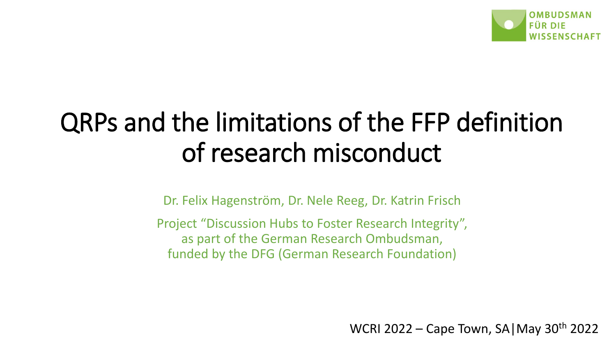

## QRPs and the limitations of the FFP definition of research misconduct

Dr. Felix Hagenström, Dr. Nele Reeg, Dr. Katrin Frisch

Project "Discussion Hubs to Foster Research Integrity", as part of the German Research Ombudsman, funded by the DFG (German Research Foundation)

WCRI 2022 – Cape Town, SA|May 30th 2022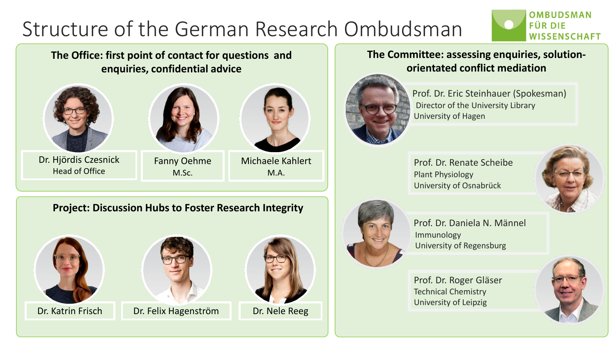## Structure of the German Research Ombudsman



**The Office: first point of contact for questions and enquiries, confidential advice**





Dr. Hjördis Czesnick Head of Office

Fanny Oehme M.Sc.



Michaele Kahlert M.A.

#### **Project: Discussion Hubs to Foster Research Integrity**





Dr. Katrin Frisch Dr. Felix Hagenström Dr. Nele Reeg



#### **The Committee: assessing enquiries, solutionorientated conflict mediation**



Prof. Dr. Eric Steinhauer (Spokesman) Director of the University Library University of Hagen

Prof. Dr. Renate Scheibe Plant Physiology University of Osnabrück



Prof. Dr. Daniela N. Männel Immunology University of Regensburg

Prof. Dr. Roger Gläser Technical Chemistry University of Leipzig



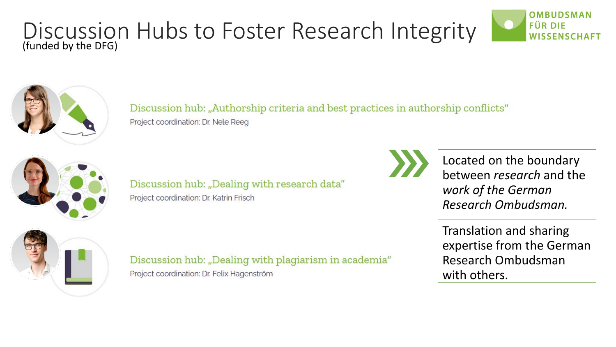#### Discussion Hubs to Foster Research Integrity (funded by the DFG)





Discussion hub: "Authorship criteria and best practices in authorship conflicts" Project coordination: Dr. Nele Reeg



Discussion hub: "Dealing with research data" Project coordination: Dr. Katrin Frisch

Discussion hub: "Dealing with plagiarism in academia" Project coordination: Dr. Felix Hagenström



Located on the boundary between *research* and the *work of the German Research Ombudsman.*

Translation and sharing expertise from the German Research Ombudsman with others.

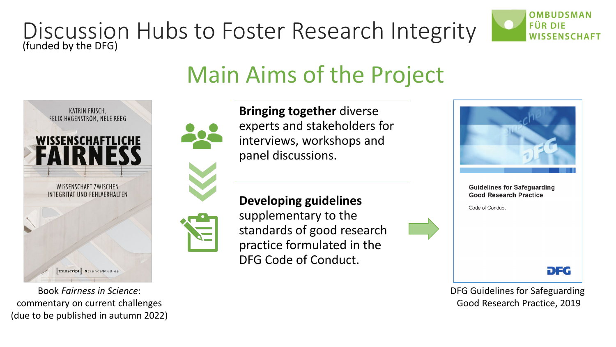### Discussion Hubs to Foster Research Integrity (funded by the DFG)



## Main Aims of the Project



Book *Fairness in Science*: commentary on current challenges (due to be published in autumn 2022)



**Bringing together** diverse experts and stakeholders for interviews, workshops and panel discussions.

**Developing guidelines** supplementary to the standards of good research practice formulated in the DFG Code of Conduct.



DFG Guidelines for Safeguarding Good Research Practice, 2019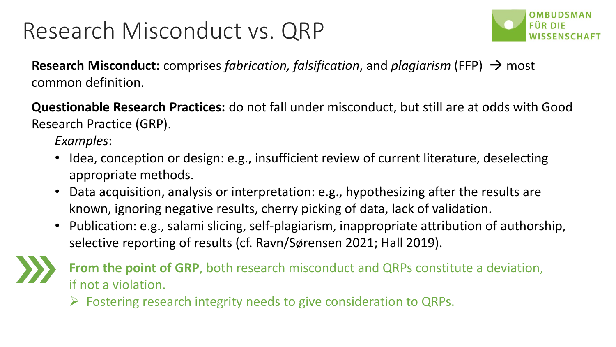## Research Misconduct vs. QRP



**Research Misconduct:** comprises *fabrication, falsification*, and *plagiarism* (FFP) → most common definition.

**Questionable Research Practices:** do not fall under misconduct, but still are at odds with Good Research Practice (GRP).

*Examples*:

- Idea, conception or design: e.g., insufficient review of current literature, deselecting appropriate methods.
- Data acquisition, analysis or interpretation: e.g., hypothesizing after the results are known, ignoring negative results, cherry picking of data, lack of validation.
- Publication: e.g., salami slicing, self-plagiarism, inappropriate attribution of authorship, selective reporting of results (cf. Ravn/Sørensen 2021; Hall 2019).



**From the point of GRP**, both research misconduct and QRPs constitute a deviation, if not a violation.

 $\triangleright$  Fostering research integrity needs to give consideration to QRPs.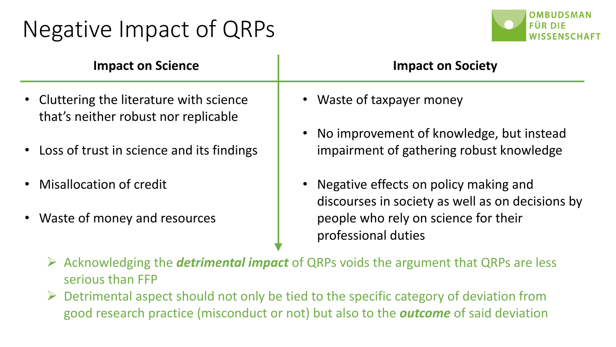## Negative Impact of QRPs



| <b>Impact on Science</b>                                                         | <b>Impact on Society</b>                                                                                   |
|----------------------------------------------------------------------------------|------------------------------------------------------------------------------------------------------------|
| • Cluttering the literature with science<br>that's neither robust nor replicable | • Waste of taxpayer money                                                                                  |
| • Loss of trust in science and its findings                                      | No improvement of knowledge, but instead<br>impairment of gathering robust knowledge                       |
| • Misallocation of credit                                                        | Negative effects on policy making and<br>discourses in society as well as on decisions by                  |
| • Waste of money and resources                                                   | people who rely on science for their<br>professional duties                                                |
|                                                                                  | $\triangleright$ Acknowledging the <b>detrimental impact</b> of ODDs voids the exampent that ODDs are less |

- Acknowledging the *detrimental impact* of QRPs voids the argument that QRPs are less serious than FFP
- $\triangleright$  Detrimental aspect should not only be tied to the specific category of deviation from good research practice (misconduct or not) but also to the *outcome* of said deviation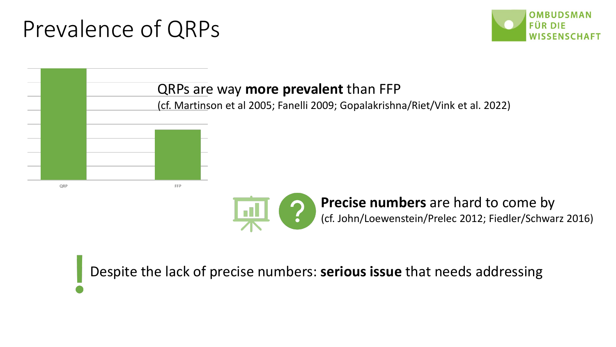## Prevalence of QRPs





Despite the lack of precise numbers: **serious issue** that needs addressing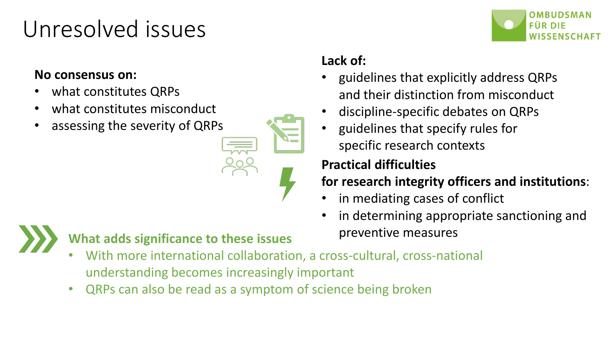## Unresolved issues

#### **No consensus on:**

- what constitutes QRPs
- what constitutes misconduct
- assessing the severity of QRPs



#### **Lack of:**

- guidelines that explicitly address QRPs and their distinction from misconduct
- discipline-specific debates on QRPs
- guidelines that specify rules for specific research contexts

#### **Practical difficulties**

#### **for research integrity officers and institutions**:

- in mediating cases of conflict
- in determining appropriate sanctioning and



## What adds significance to these issues **preventive measures**

- With more international collaboration, a cross-cultural, cross-national understanding becomes increasingly important
- QRPs can also be read as a symptom of science being broken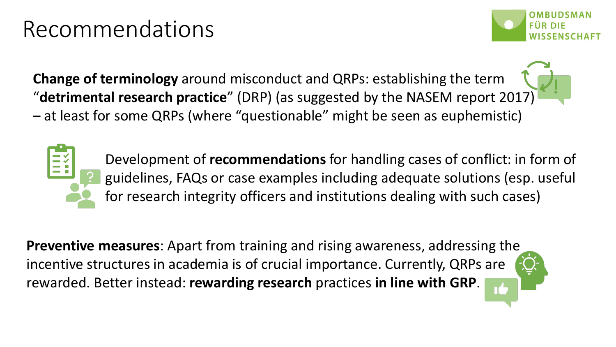## Recommendations



**Change of terminology** around misconduct and QRPs: establishing the term "**detrimental research practice**" (DRP) (as suggested by the NASEM report 2017) – at least for some QRPs (where "questionable" might be seen as euphemistic)

> Development of **recommendations** for handling cases of conflict: in form of guidelines, FAQs or case examples including adequate solutions (esp. useful for research integrity officers and institutions dealing with such cases)

**Preventive measures**: Apart from training and rising awareness, addressing the incentive structures in academia is of crucial importance. Currently, QRPs are rewarded. Better instead: **rewarding research** practices **in line with GRP**.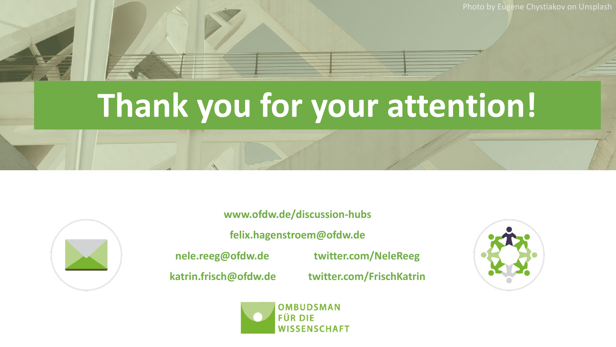Photo by Eugene Chystiakov on Unsplash

# **Thank you for your attention!**



**www.ofdw.de/discussion-hubs felix.hagenstroem@ofdw.de nele.reeg@ofdw.de twitter.com/NeleReeg katrin.frisch@ofdw.de twitter.com/FrischKatrin**